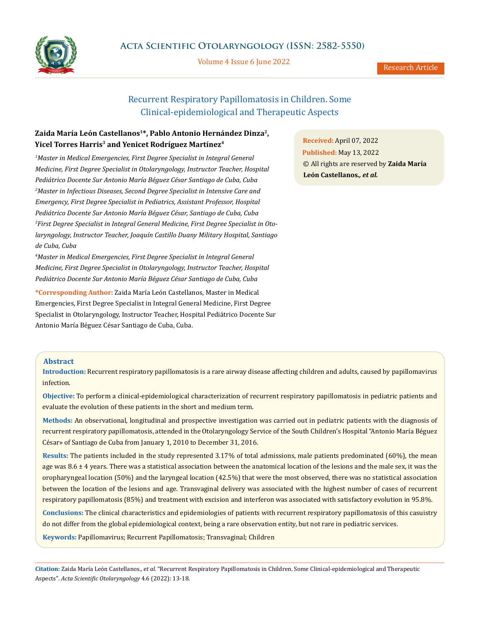

Volume 4 Issue 6 June 2022

Research Article

# Recurrent Respiratory Papillomatosis in Children. Some Clinical-epidemiological and Therapeutic Aspects

## **Zaida María León Castellanos1\*, Pablo Antonio Hernández Dinza2, Yicel Torres Harris3 and Yenicet Rodríguez Martínez4**

<sup>1</sup> Master in Medical Emergencies, First Degree Specialist in Integral General *Medicine, First Degree Specialist in Otolaryngology, Instructor Teacher, Hospital Pediátrico Docente Sur Antonio María Béguez César Santiago de Cuba, Cuba 2 Master in Infectious Diseases, Second Degree Specialist in Intensive Care and Emergency, First Degree Specialist in Pediatrics, Assistant Professor, Hospital Pediátrico Docente Sur Antonio María Béguez César, Santiago de Cuba, Cuba 3 First Degree Specialist in Integral General Medicine, First Degree Specialist in Otolaryngology, Instructor Teacher, Joaquín Castillo Duany Military Hospital, Santiago de Cuba, Cuba* 

*4 Master in Medical Emergencies, First Degree Specialist in Integral General Medicine, First Degree Specialist in Otolaryngology, Instructor Teacher, Hospital Pediátrico Docente Sur Antonio María Béguez César Santiago de Cuba, Cuba* 

**\*Corresponding Author:** Zaida María León Castellanos, Master in Medical Emergencies, First Degree Specialist in Integral General Medicine, First Degree Specialist in Otolaryngology, Instructor Teacher, Hospital Pediátrico Docente Sur Antonio María Béguez César Santiago de Cuba, Cuba.

**Received:** April 07, 2022 **Published:** May 13, 2022 © All rights are reserved by **Zaida María León Castellanos***., et al.*

## **Abstract**

**Introduction:** Recurrent respiratory papillomatosis is a rare airway disease affecting children and adults, caused by papillomavirus infection.

**Objective:** To perform a clinical-epidemiological characterization of recurrent respiratory papillomatosis in pediatric patients and evaluate the evolution of these patients in the short and medium term.

**Methods:** An observational, longitudinal and prospective investigation was carried out in pediatric patients with the diagnosis of recurrent respiratory papillomatosis, attended in the Otolaryngology Service of the South Children's Hospital "Antonio María Béguez César» of Santiago de Cuba from January 1, 2010 to December 31, 2016.

**Results:** The patients included in the study represented 3.17% of total admissions, male patients predominated (60%), the mean age was  $8.6 \pm 4$  years. There was a statistical association between the anatomical location of the lesions and the male sex, it was the oropharyngeal location (50%) and the laryngeal location (42.5%) that were the most observed, there was no statistical association between the location of the lesions and age. Transvaginal delivery was associated with the highest number of cases of recurrent respiratory papillomatosis (85%) and treatment with excision and interferon was associated with satisfactory evolution in 95.8%.

**Conclusions:** The clinical characteristics and epidemiologies of patients with recurrent respiratory papillomatosis of this casuistry do not differ from the global epidemiological context, being a rare observation entity, but not rare in pediatric services.

**Keywords:** Papillomavirus; Recurrent Papillomatosis; Transvaginal; Children

**Citation:** Zaida María León Castellanos*., et al.* "Recurrent Respiratory Papillomatosis in Children. Some Clinical-epidemiological and Therapeutic Aspects". *Acta Scientific Otolaryngology* 4.6 (2022): 13-18.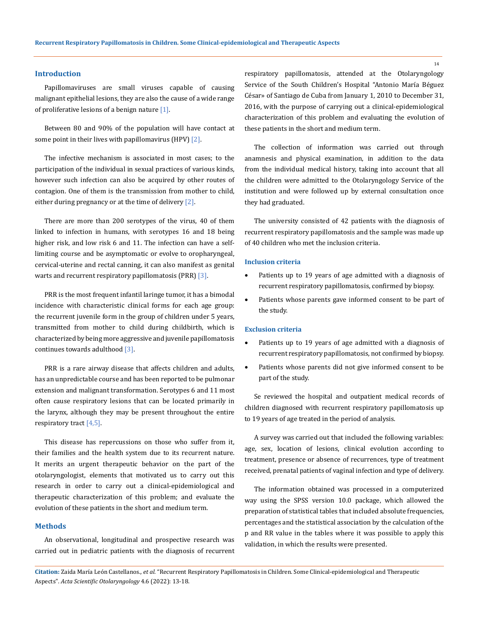#### **Introduction**

Papillomaviruses are small viruses capable of causing malignant epithelial lesions, they are also the cause of a wide range of proliferative lesions of a benign nature  $[1]$ .

Between 80 and 90% of the population will have contact at some point in their lives with papillomavirus (HPV) [2].

The infective mechanism is associated in most cases; to the participation of the individual in sexual practices of various kinds, however such infection can also be acquired by other routes of contagion. One of them is the transmission from mother to child, either during pregnancy or at the time of delivery [2].

There are more than 200 serotypes of the virus, 40 of them linked to infection in humans, with serotypes 16 and 18 being higher risk, and low risk 6 and 11. The infection can have a selflimiting course and be asymptomatic or evolve to oropharyngeal, cervical-uterine and rectal canning, it can also manifest as genital warts and recurrent respiratory papillomatosis (PRR) [3].

PRR is the most frequent infantil laringe tumor, it has a bimodal incidence with characteristic clinical forms for each age group: the recurrent juvenile form in the group of children under 5 years, transmitted from mother to child during childbirth, which is characterized by being more aggressive and juvenile papillomatosis continues towards adulthood [3].

PRR is a rare airway disease that affects children and adults, has an unpredictable course and has been reported to be pulmonar extension and malignant transformation. Serotypes 6 and 11 most often cause respiratory lesions that can be located primarily in the larynx, although they may be present throughout the entire respiratory tract [4,5].

This disease has repercussions on those who suffer from it, their families and the health system due to its recurrent nature. It merits an urgent therapeutic behavior on the part of the otolaryngologist, elements that motivated us to carry out this research in order to carry out a clinical-epidemiological and therapeutic characterization of this problem; and evaluate the evolution of these patients in the short and medium term.

#### **Methods**

An observational, longitudinal and prospective research was carried out in pediatric patients with the diagnosis of recurrent respiratory papillomatosis, attended at the Otolaryngology Service of the South Children's Hospital "Antonio María Béguez César» of Santiago de Cuba from January 1, 2010 to December 31, 2016, with the purpose of carrying out a clinical-epidemiological characterization of this problem and evaluating the evolution of these patients in the short and medium term.

The collection of information was carried out through anamnesis and physical examination, in addition to the data from the individual medical history, taking into account that all the children were admitted to the Otolaryngology Service of the institution and were followed up by external consultation once they had graduated.

The university consisted of 42 patients with the diagnosis of recurrent respiratory papillomatosis and the sample was made up of 40 children who met the inclusion criteria.

## **Inclusion criteria**

- • Patients up to 19 years of age admitted with a diagnosis of recurrent respiratory papillomatosis, confirmed by biopsy.
- Patients whose parents gave informed consent to be part of the study.

#### **Exclusion criteria**

- Patients up to 19 years of age admitted with a diagnosis of recurrent respiratory papillomatosis, not confirmed by biopsy.
- Patients whose parents did not give informed consent to be part of the study.

Se reviewed the hospital and outpatient medical records of children diagnosed with recurrent respiratory papillomatosis up to 19 years of age treated in the period of analysis.

A survey was carried out that included the following variables: age, sex, location of lesions, clinical evolution according to treatment, presence or absence of recurrences, type of treatment received, prenatal patients of vaginal infection and type of delivery.

The information obtained was processed in a computerized way using the SPSS version 10.0 package, which allowed the preparation of statistical tables that included absolute frequencies, percentages and the statistical association by the calculation of the p and RR value in the tables where it was possible to apply this validation, in which the results were presented.

**Citation:** Zaida María León Castellanos*., et al.* "Recurrent Respiratory Papillomatosis in Children. Some Clinical-epidemiological and Therapeutic Aspects". *Acta Scientific Otolaryngology* 4.6 (2022): 13-18.

14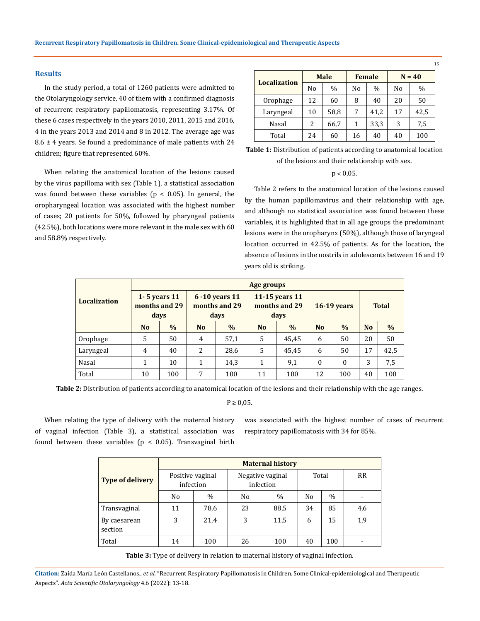#### **Results**

and 58.8% respectively.

In the study period, a total of 1260 patients were admitted to the Otolaryngology service, 40 of them with a confirmed diagnosis of recurrent respiratory papillomatosis, representing 3.17%. Of these 6 cases respectively in the years 2010, 2011, 2015 and 2016, 4 in the years 2013 and 2014 and 8 in 2012. The average age was  $8.6 \pm 4$  years. Se found a predominance of male patients with 24 children; figure that represented 60%.

When relating the anatomical location of the lesions caused by the virus papilloma with sex (Table 1), a statistical association was found between these variables ( $p < 0.05$ ). In general, the oropharyngeal location was associated with the highest number of cases; 20 patients for 50%, followed by pharyngeal patients (42.5%), both locations were more relevant in the male sex with 60

| <b>Localization</b> | <b>Male</b> |               |    | <b>Female</b> | $N = 40$ |      |  |
|---------------------|-------------|---------------|----|---------------|----------|------|--|
|                     | No          | $\frac{0}{0}$ | No | $\frac{0}{0}$ | Nο       | $\%$ |  |
| Orophage            | 12          | 60            | 8  | 40            | 20       | 50   |  |
| Laryngeal           | 10          | 58,8          |    | 41,2          | 17       | 42,5 |  |
| Nasal               | 2           | 66,7          |    | 33,3          | 3        | 7,5  |  |
| Total               | 24          | 60            | 16 | 40            | 40       | 100  |  |

15

**Table 1:** Distribution of patients according to anatomical location of the lesions and their relationship with sex.

#### $p < 0.05$ .

Table 2 refers to the anatomical location of the lesions caused by the human papillomavirus and their relationship with age, and although no statistical association was found between these variables, it is highlighted that in all age groups the predominant lesions were in the oropharynx (50%), although those of laryngeal location occurred in 42.5% of patients. As for the location, the absence of lesions in the nostrils in adolescents between 16 and 19 years old is striking.

|                     | Age groups                                |               |                                            |      |                                         |       |                |          |              |               |  |  |
|---------------------|-------------------------------------------|---------------|--------------------------------------------|------|-----------------------------------------|-------|----------------|----------|--------------|---------------|--|--|
| <b>Localization</b> | 1 - 5 years $11$<br>months and 29<br>days |               | $6 - 10$ years 11<br>months and 29<br>days |      | 11-15 years 11<br>months and 29<br>days |       | $16-19$ years  |          | <b>Total</b> |               |  |  |
|                     | N <sub>o</sub>                            | $\frac{0}{0}$ | N <sub>o</sub>                             | $\%$ | N <sub>o</sub>                          | $\%$  | N <sub>o</sub> | $\%$     | <b>No</b>    | $\frac{0}{0}$ |  |  |
| Orophage            | 5                                         | 50            | 4                                          | 57,1 | 5                                       | 45,45 | 6              | 50       | 20           | 50            |  |  |
| Laryngeal           | $\overline{4}$                            | 40            | 2                                          | 28,6 | 5                                       | 45,45 | 6              | 50       | 17           | 42,5          |  |  |
| Nasal               | 1                                         | 10            | 1                                          | 14,3 | 1                                       | 9,1   | $\Omega$       | $\theta$ | 3            | 7,5           |  |  |
| Total               | 10                                        | 100           | 7                                          | 100  | 11                                      | 100   | 12             | 100      | 40           | 100           |  |  |

**Table 2:** Distribution of patients according to anatomical location of the lesions and their relationship with the age ranges.

#### $P \geq 0.05$ .

When relating the type of delivery with the maternal history of vaginal infection (Table 3), a statistical association was found between these variables ( $p < 0.05$ ). Transvaginal birth was associated with the highest number of cases of recurrent respiratory papillomatosis with 34 for 85%.

|                         | <b>Maternal history</b>       |               |                               |       |                |           |                          |  |  |  |
|-------------------------|-------------------------------|---------------|-------------------------------|-------|----------------|-----------|--------------------------|--|--|--|
| <b>Type of delivery</b> | Positive vaginal<br>infection |               | Negative vaginal<br>infection | Total |                | <b>RR</b> |                          |  |  |  |
|                         | No                            | $\frac{0}{0}$ | No                            | $\%$  | N <sub>0</sub> | $\%$      |                          |  |  |  |
| Transvaginal            | 11                            | 78,6          | 23                            | 88,5  | 34             | 85        | 4,6                      |  |  |  |
| By caesarean<br>section | 3                             | 21,4          | 3                             | 11,5  | 6              | 15        | 1,9                      |  |  |  |
| Total                   | 14                            | 100           | 26                            | 100   | 40             | 100       | $\overline{\phantom{0}}$ |  |  |  |

**Table 3:** Type of delivery in relation to maternal history of vaginal infection.

**Citation:** Zaida María León Castellanos*., et al.* "Recurrent Respiratory Papillomatosis in Children. Some Clinical-epidemiological and Therapeutic Aspects". *Acta Scientific Otolaryngology* 4.6 (2022): 13-18.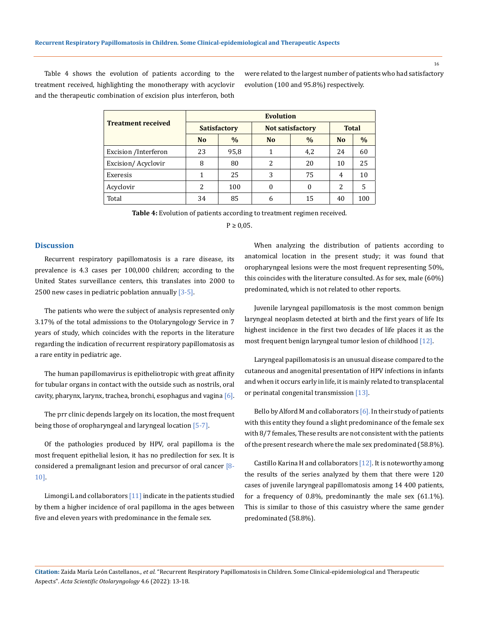Table 4 shows the evolution of patients according to the treatment received, highlighting the monotherapy with acyclovir and the therapeutic combination of excision plus interferon, both were related to the largest number of patients who had satisfactory evolution (100 and 95.8%) respectively.

|                           | <b>Evolution</b> |                     |                         |               |                |               |  |  |  |  |
|---------------------------|------------------|---------------------|-------------------------|---------------|----------------|---------------|--|--|--|--|
| <b>Treatment received</b> |                  | <b>Satisfactory</b> | <b>Not satisfactory</b> | <b>Total</b>  |                |               |  |  |  |  |
|                           | N <sub>0</sub>   | $\frac{0}{0}$       | N <sub>o</sub>          | $\frac{0}{0}$ | N <sub>0</sub> | $\frac{0}{0}$ |  |  |  |  |
| Excision / Interferon     | 23               | 95,8                | 1                       | 4,2           | 24             | 60            |  |  |  |  |
| Excision/Acyclovir        | 8                | 80                  | 2                       | 20            | 10             | 25            |  |  |  |  |
| Exeresis                  | 1                | 25                  | 3                       | 75            | 4              | 10            |  |  |  |  |
| Acyclovir                 | 2                | 100                 | $\theta$                | $\theta$      | 2              | 5             |  |  |  |  |
| Total                     | 34               | 85                  | 6                       | 15            | 40             | 100           |  |  |  |  |

**Table 4:** Evolution of patients according to treatment regimen received.

 $P \ge 0.05$ .

## **Discussion**

Recurrent respiratory papillomatosis is a rare disease, its prevalence is 4.3 cases per 100,000 children; according to the United States surveillance centers, this translates into 2000 to 2500 new cases in pediatric poblation annually [3-5].

The patients who were the subject of analysis represented only 3.17% of the total admissions to the Otolaryngology Service in 7 years of study, which coincides with the reports in the literature regarding the indication of recurrent respiratory papillomatosis as a rare entity in pediatric age.

The human papillomavirus is epitheliotropic with great affinity for tubular organs in contact with the outside such as nostrils, oral cavity, pharynx, larynx, trachea, bronchi, esophagus and vagina  $[6]$ .

The prr clinic depends largely on its location, the most frequent being those of oropharyngeal and laryngeal location [5-7].

Of the pathologies produced by HPV, oral papilloma is the most frequent epithelial lesion, it has no predilection for sex. It is considered a premalignant lesion and precursor of oral cancer [8-10].

Limongi L and collaborators [11] indicate in the patients studied by them a higher incidence of oral papilloma in the ages between five and eleven years with predominance in the female sex.

When analyzing the distribution of patients according to anatomical location in the present study; it was found that oropharyngeal lesions were the most frequent representing 50%, this coincides with the literature consulted. As for sex, male (60%) predominated, which is not related to other reports.

Juvenile laryngeal papillomatosis is the most common benign laryngeal neoplasm detected at birth and the first years of life Its highest incidence in the first two decades of life places it as the most frequent benign laryngeal tumor lesion of childhood [12].

Laryngeal papillomatosis is an unusual disease compared to the cutaneous and anogenital presentation of HPV infections in infants and when it occurs early in life, it is mainly related to transplacental or perinatal congenital transmission [13].

Bello by Alford M and collaborators  $[6]$ . In their study of patients with this entity they found a slight predominance of the female sex with 8/7 females, These results are not consistent with the patients of the present research where the male sex predominated (58.8%).

Castillo Karina H and collaborators  $[12]$ . It is noteworthy among the results of the series analyzed by them that there were 120 cases of juvenile laryngeal papillomatosis among 14 400 patients, for a frequency of 0.8%, predominantly the male sex (61.1%). This is similar to those of this casuistry where the same gender predominated (58.8%).

**Citation:** Zaida María León Castellanos*., et al.* "Recurrent Respiratory Papillomatosis in Children. Some Clinical-epidemiological and Therapeutic Aspects". *Acta Scientific Otolaryngology* 4.6 (2022): 13-18.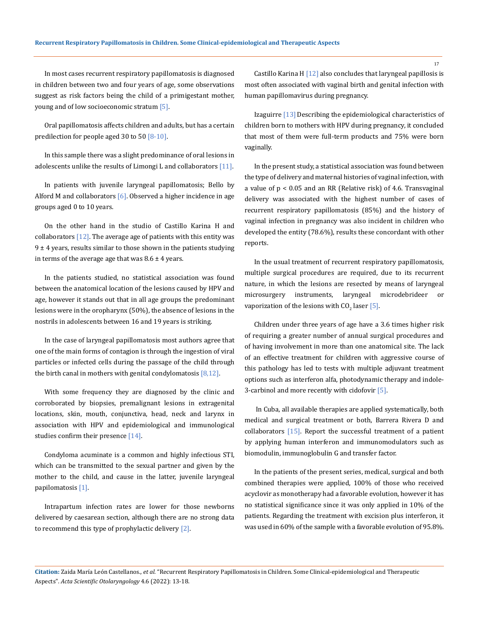In most cases recurrent respiratory papillomatosis is diagnosed in children between two and four years of age, some observations suggest as risk factors being the child of a primigestant mother, young and of low socioeconomic stratum [5].

Oral papillomatosis affects children and adults, but has a certain predilection for people aged 30 to 50  $[8-10]$ .

In this sample there was a slight predominance of oral lesions in adolescents unlike the results of Limongi L and collaborators [11].

In patients with juvenile laryngeal papillomatosis; Bello by Alford M and collaborators  $[6]$ . Observed a higher incidence in age groups aged 0 to 10 years.

On the other hand in the studio of Castillo Karina H and collaborators  $[12]$ . The average age of patients with this entity was  $9 \pm 4$  years, results similar to those shown in the patients studying in terms of the average age that was  $8.6 \pm 4$  years.

In the patients studied, no statistical association was found between the anatomical location of the lesions caused by HPV and age, however it stands out that in all age groups the predominant lesions were in the oropharynx (50%), the absence of lesions in the nostrils in adolescents between 16 and 19 years is striking.

In the case of laryngeal papillomatosis most authors agree that one of the main forms of contagion is through the ingestion of viral particles or infected cells during the passage of the child through the birth canal in mothers with genital condylomatosis  $[8,12]$ .

With some frequency they are diagnosed by the clinic and corroborated by biopsies, premalignant lesions in extragenital locations, skin, mouth, conjunctiva, head, neck and larynx in association with HPV and epidemiological and immunological studies confirm their presence [14].

Condyloma acuminate is a common and highly infectious STI, which can be transmitted to the sexual partner and given by the mother to the child, and cause in the latter, juvenile laryngeal papilomatosis [1].

Intrapartum infection rates are lower for those newborns delivered by caesarean section, although there are no strong data to recommend this type of prophylactic delivery [2].

Castillo Karina H [12] also concludes that laryngeal papillosis is most often associated with vaginal birth and genital infection with human papillomavirus during pregnancy.

Izaguirre [13] Describing the epidemiological characteristics of children born to mothers with HPV during pregnancy, it concluded that most of them were full-term products and 75% were born vaginally.

In the present study, a statistical association was found between the type of delivery and maternal histories of vaginal infection, with a value of p < 0.05 and an RR (Relative risk) of 4.6. Transvaginal delivery was associated with the highest number of cases of recurrent respiratory papillomatosis (85%) and the history of vaginal infection in pregnancy was also incident in children who developed the entity (78.6%), results these concordant with other reports.

In the usual treatment of recurrent respiratory papillomatosis, multiple surgical procedures are required, due to its recurrent nature, in which the lesions are resected by means of laryngeal microsurgery instruments, laryngeal microdebrideer or vaporization of the lesions with  $\text{CO}_2$  laser [5].

Children under three years of age have a 3.6 times higher risk of requiring a greater number of annual surgical procedures and of having involvement in more than one anatomical site. The lack of an effective treatment for children with aggressive course of this pathology has led to tests with multiple adjuvant treatment options such as interferon alfa, photodynamic therapy and indole-3-carbinol and more recently with cidofovir [5].

In Cuba, all available therapies are applied systematically, both medical and surgical treatment or both, Barrera Rivera D and collaborators [15]. Report the successful treatment of a patient by applying human interferon and immunomodulators such as biomodulin, immunoglobulin G and transfer factor.

In the patients of the present series, medical, surgical and both combined therapies were applied, 100% of those who received acyclovir as monotherapy had a favorable evolution, however it has no statistical significance since it was only applied in 10% of the patients. Regarding the treatment with excision plus interferon, it was used in 60% of the sample with a favorable evolution of 95.8%.

17

**Citation:** Zaida María León Castellanos*., et al.* "Recurrent Respiratory Papillomatosis in Children. Some Clinical-epidemiological and Therapeutic Aspects". *Acta Scientific Otolaryngology* 4.6 (2022): 13-18.